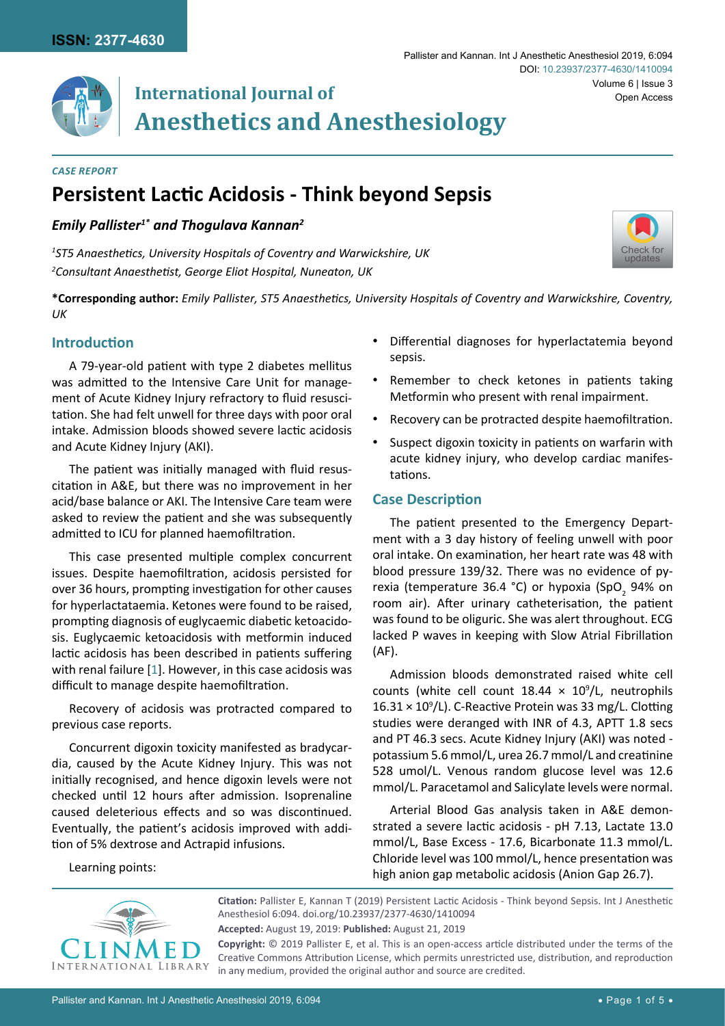

# **International Journal of Anesthetics and Anesthesiology**

#### *Case Report*

## **Persistent Lactic Acidosis - Think beyond Sepsis**

## *Emily Pallister1\* and Thogulava Kannan2*

*1 ST5 Anaesthetics, University Hospitals of Coventry and Warwickshire, UK 2 Consultant Anaesthetist, George Eliot Hospital, Nuneaton, UK*

**\*Corresponding author:** *Emily Pallister, ST5 Anaesthetics, University Hospitals of Coventry and Warwickshire, Coventry, UK*

## **Introduction**

A 79-year-old patient with type 2 diabetes mellitus was admitted to the Intensive Care Unit for management of Acute Kidney Injury refractory to fluid resuscitation. She had felt unwell for three days with poor oral intake. Admission bloods showed severe lactic acidosis and Acute Kidney Injury (AKI).

The patient was initially managed with fluid resuscitation in A&E, but there was no improvement in her acid/base balance or AKI. The Intensive Care team were asked to review the patient and she was subsequently admitted to ICU for planned haemofiltration.

This case presented multiple complex concurrent issues. Despite haemofiltration, acidosis persisted for over 36 hours, prompting investigation for other causes for hyperlactataemia. Ketones were found to be raised, prompting diagnosis of euglycaemic diabetic ketoacidosis. Euglycaemic ketoacidosis with metformin induced lactic acidosis has been described in patients suffering with renal failure [[1](#page-3-0)]. However, in this case acidosis was difficult to manage despite haemofiltration.

Recovery of acidosis was protracted compared to previous case reports.

Concurrent digoxin toxicity manifested as bradycardia, caused by the Acute Kidney Injury. This was not initially recognised, and hence digoxin levels were not checked until 12 hours after admission. Isoprenaline caused deleterious effects and so was discontinued. Eventually, the patient's acidosis improved with addition of 5% dextrose and Actrapid infusions.

Differential diagnoses for hyperlactatemia beyond sepsis.

[Check for](http://crossmark.crossref.org/dialog/?doi=10.23937/2377-4630/1410094&domain=pdf) updates

- Remember to check ketones in patients taking Metformin who present with renal impairment.
- Recovery can be protracted despite haemofiltration.
- Suspect digoxin toxicity in patients on warfarin with acute kidney injury, who develop cardiac manifestations.

## **Case Description**

The patient presented to the Emergency Department with a 3 day history of feeling unwell with poor oral intake. On examination, her heart rate was 48 with blood pressure 139/32. There was no evidence of pyrexia (temperature 36.4 °C) or hypoxia (SpO<sub>2</sub> 94% on room air). After urinary catheterisation, the patient was found to be oliguric. She was alert throughout. ECG lacked P waves in keeping with Slow Atrial Fibrillation (AF).

Admission bloods demonstrated raised white cell counts (white cell count  $18.44 \times 10^9$ /L, neutrophils  $16.31 \times 10^9$ /L). C-Reactive Protein was 33 mg/L. Clotting studies were deranged with INR of 4.3, APTT 1.8 secs and PT 46.3 secs. Acute Kidney Injury (AKI) was noted potassium 5.6 mmol/L, urea 26.7 mmol/L and creatinine 528 umol/L. Venous random glucose level was 12.6 mmol/L. Paracetamol and Salicylate levels were normal.

Arterial Blood Gas analysis taken in A&E demonstrated a severe lactic acidosis - pH 7.13, Lactate 13.0 mmol/L, Base Excess - 17.6, Bicarbonate 11.3 mmol/L. Chloride level was 100 mmol/L, hence presentation was high anion gap metabolic acidosis (Anion Gap 26.7).

Learning points:



**Citation:** Pallister E, Kannan T (2019) Persistent Lactic Acidosis - Think beyond Sepsis. Int J Anesthetic Anesthesiol 6:094. [doi.org/10.23937/2377-4630/1410094](https://doi.org/10.23937/2377-4630/1410094) **Accepted:** August 19, 2019: **Published:** August 21, 2019 **Copyright:** © 2019 Pallister E, et al. This is an open-access article distributed under the terms of the Creative Commons Attribution License, which permits unrestricted use, distribution, and reproduction

in any medium, provided the original author and source are credited.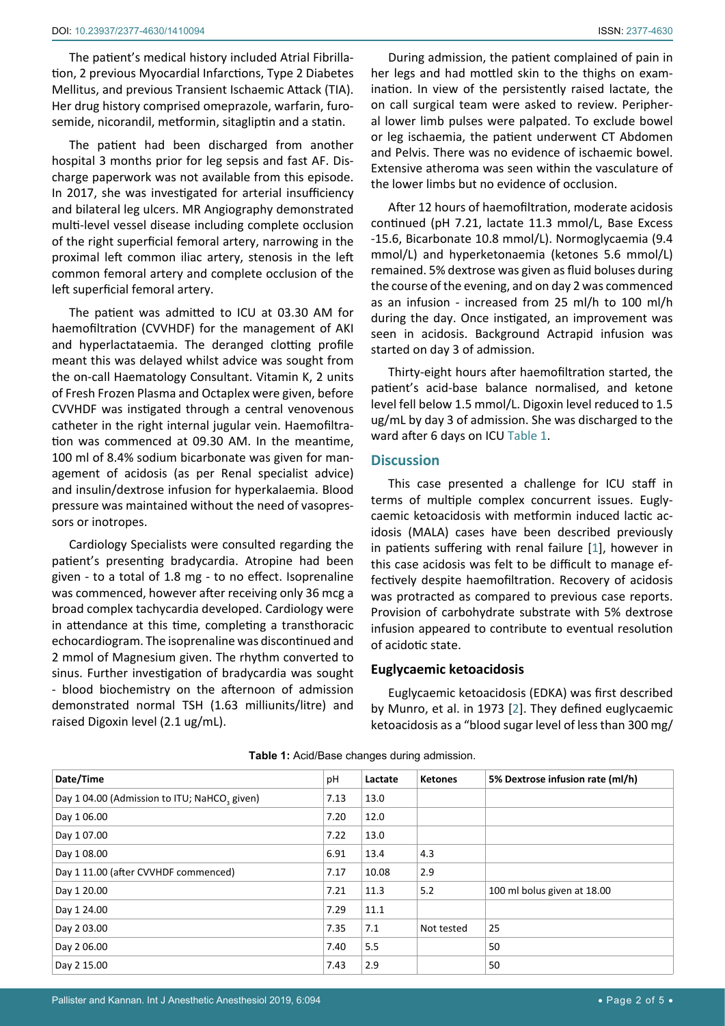The patient's medical history included Atrial Fibrillation, 2 previous Myocardial Infarctions, Type 2 Diabetes Mellitus, and previous Transient Ischaemic Attack (TIA). Her drug history comprised omeprazole, warfarin, furosemide, nicorandil, metformin, sitagliptin and a statin.

The patient had been discharged from another hospital 3 months prior for leg sepsis and fast AF. Discharge paperwork was not available from this episode. In 2017, she was investigated for arterial insufficiency and bilateral leg ulcers. MR Angiography demonstrated multi-level vessel disease including complete occlusion of the right superficial femoral artery, narrowing in the proximal left common iliac artery, stenosis in the left common femoral artery and complete occlusion of the left superficial femoral artery.

The patient was admitted to ICU at 03.30 AM for haemofiltration (CVVHDF) for the management of AKI and hyperlactataemia. The deranged clotting profile meant this was delayed whilst advice was sought from the on-call Haematology Consultant. Vitamin K, 2 units of Fresh Frozen Plasma and Octaplex were given, before CVVHDF was instigated through a central venovenous catheter in the right internal jugular vein. Haemofiltration was commenced at 09.30 AM. In the meantime, 100 ml of 8.4% sodium bicarbonate was given for management of acidosis (as per Renal specialist advice) and insulin/dextrose infusion for hyperkalaemia. Blood pressure was maintained without the need of vasopressors or inotropes.

Cardiology Specialists were consulted regarding the patient's presenting bradycardia. Atropine had been given - to a total of 1.8 mg - to no effect. Isoprenaline was commenced, however after receiving only 36 mcg a broad complex tachycardia developed. Cardiology were in attendance at this time, completing a transthoracic echocardiogram. The isoprenaline was discontinued and 2 mmol of Magnesium given. The rhythm converted to sinus. Further investigation of bradycardia was sought - blood biochemistry on the afternoon of admission demonstrated normal TSH (1.63 milliunits/litre) and raised Digoxin level (2.1 ug/mL).

During admission, the patient complained of pain in her legs and had mottled skin to the thighs on examination. In view of the persistently raised lactate, the on call surgical team were asked to review. Peripheral lower limb pulses were palpated. To exclude bowel or leg ischaemia, the patient underwent CT Abdomen and Pelvis. There was no evidence of ischaemic bowel. Extensive atheroma was seen within the vasculature of the lower limbs but no evidence of occlusion.

After 12 hours of haemofiltration, moderate acidosis continued (pH 7.21, lactate 11.3 mmol/L, Base Excess -15.6, Bicarbonate 10.8 mmol/L). Normoglycaemia (9.4 mmol/L) and hyperketonaemia (ketones 5.6 mmol/L) remained. 5% dextrose was given as fluid boluses during the course of the evening, and on day 2 was commenced as an infusion - increased from 25 ml/h to 100 ml/h during the day. Once instigated, an improvement was seen in acidosis. Background Actrapid infusion was started on day 3 of admission.

Thirty-eight hours after haemofiltration started, the patient's acid-base balance normalised, and ketone level fell below 1.5 mmol/L. Digoxin level reduced to 1.5 ug/mL by day 3 of admission. She was discharged to the ward after 6 days on ICU [Table 1](#page-1-0).

#### **Discussion**

This case presented a challenge for ICU staff in terms of multiple complex concurrent issues. Euglycaemic ketoacidosis with metformin induced lactic acidosis (MALA) cases have been described previously in patients suffering with renal failure [[1](#page-3-0)], however in this case acidosis was felt to be difficult to manage effectively despite haemofiltration. Recovery of acidosis was protracted as compared to previous case reports. Provision of carbohydrate substrate with 5% dextrose infusion appeared to contribute to eventual resolution of acidotic state.

#### **Euglycaemic ketoacidosis**

Euglycaemic ketoacidosis (EDKA) was first described by Munro, et al. in 1973 [[2](#page-3-1)]. They defined euglycaemic ketoacidosis as a "blood sugar level of less than 300 mg/

| Date/Time                                                | pH   | Lactate | <b>Ketones</b> | 5% Dextrose infusion rate (ml/h) |
|----------------------------------------------------------|------|---------|----------------|----------------------------------|
| Day 1 04.00 (Admission to ITU; NaHCO <sub>2</sub> given) | 7.13 | 13.0    |                |                                  |
| Day 1 06.00                                              | 7.20 | 12.0    |                |                                  |
| Day 1 07.00                                              | 7.22 | 13.0    |                |                                  |
| Day 1 08.00                                              | 6.91 | 13.4    | 4.3            |                                  |
| Day 1 11.00 (after CVVHDF commenced)                     | 7.17 | 10.08   | 2.9            |                                  |
| Day 1 20.00                                              | 7.21 | 11.3    | 5.2            | 100 ml bolus given at 18.00      |
| Day 1 24.00                                              | 7.29 | 11.1    |                |                                  |
| Day 2 03.00                                              | 7.35 | 7.1     | Not tested     | 25                               |
| Day 2 06.00                                              | 7.40 | 5.5     |                | 50                               |
| Day 2 15.00                                              | 7.43 | 2.9     |                | 50                               |

<span id="page-1-0"></span>**Table 1:** Acid/Base changes during admission.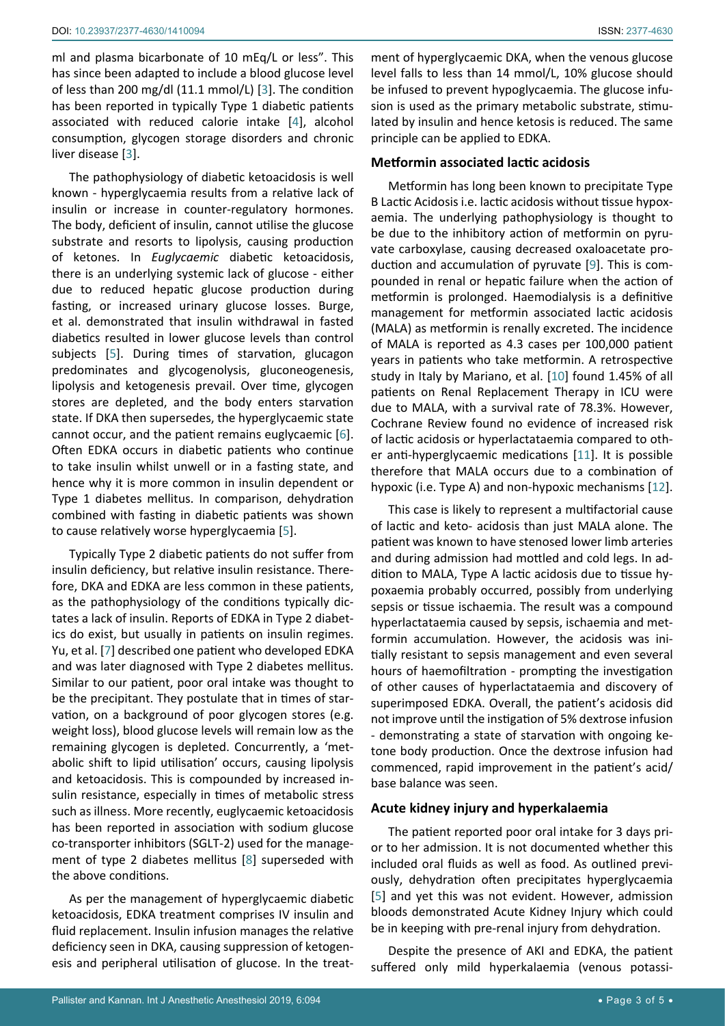ml and plasma bicarbonate of 10 mEq/L or less". This has since been adapted to include a blood glucose level of less than 200 mg/dl (11.1 mmol/L) [[3](#page-4-5)]. The condition has been reported in typically Type 1 diabetic patients associated with reduced calorie intake [[4\]](#page-4-6), alcohol consumption, glycogen storage disorders and chronic liver disease [\[3\]](#page-4-5).

The pathophysiology of diabetic ketoacidosis is well known - hyperglycaemia results from a relative lack of insulin or increase in counter-regulatory hormones. The body, deficient of insulin, cannot utilise the glucose substrate and resorts to lipolysis, causing production of ketones. In *Euglycaemic* diabetic ketoacidosis, there is an underlying systemic lack of glucose - either due to reduced hepatic glucose production during fasting, or increased urinary glucose losses. Burge, et al. demonstrated that insulin withdrawal in fasted diabetics resulted in lower glucose levels than control subjects [[5\]](#page-4-4). During times of starvation, glucagon predominates and glycogenolysis, gluconeogenesis, lipolysis and ketogenesis prevail. Over time, glycogen stores are depleted, and the body enters starvation state. If DKA then supersedes, the hyperglycaemic state cannot occur, and the patient remains euglycaemic [[6](#page-4-7)]. Often EDKA occurs in diabetic patients who continue to take insulin whilst unwell or in a fasting state, and hence why it is more common in insulin dependent or Type 1 diabetes mellitus. In comparison, dehydration combined with fasting in diabetic patients was shown to cause relatively worse hyperglycaemia [\[5\]](#page-4-4).

Typically Type 2 diabetic patients do not suffer from insulin deficiency, but relative insulin resistance. Therefore, DKA and EDKA are less common in these patients, as the pathophysiology of the conditions typically dictates a lack of insulin. Reports of EDKA in Type 2 diabetics do exist, but usually in patients on insulin regimes. Yu, et al. [[7](#page-4-8)] described one patient who developed EDKA and was later diagnosed with Type 2 diabetes mellitus. Similar to our patient, poor oral intake was thought to be the precipitant. They postulate that in times of starvation, on a background of poor glycogen stores (e.g. weight loss), blood glucose levels will remain low as the remaining glycogen is depleted. Concurrently, a 'metabolic shift to lipid utilisation' occurs, causing lipolysis and ketoacidosis. This is compounded by increased insulin resistance, especially in times of metabolic stress such as illness. More recently, euglycaemic ketoacidosis has been reported in association with sodium glucose co-transporter inhibitors (SGLT-2) used for the management of type 2 diabetes mellitus [[8](#page-4-9)] superseded with the above conditions.

As per the management of hyperglycaemic diabetic ketoacidosis, EDKA treatment comprises IV insulin and fluid replacement. Insulin infusion manages the relative deficiency seen in DKA, causing suppression of ketogenesis and peripheral utilisation of glucose. In the treat-

ment of hyperglycaemic DKA, when the venous glucose level falls to less than 14 mmol/L, 10% glucose should be infused to prevent hypoglycaemia. The glucose infusion is used as the primary metabolic substrate, stimulated by insulin and hence ketosis is reduced. The same principle can be applied to EDKA.

#### **Metformin associated lactic acidosis**

Metformin has long been known to precipitate Type B Lactic Acidosis i.e. lactic acidosis without tissue hypoxaemia. The underlying pathophysiology is thought to be due to the inhibitory action of metformin on pyruvate carboxylase, causing decreased oxaloacetate production and accumulation of pyruvate [[9](#page-4-0)]. This is compounded in renal or hepatic failure when the action of metformin is prolonged. Haemodialysis is a definitive management for metformin associated lactic acidosis (MALA) as metformin is renally excreted. The incidence of MALA is reported as 4.3 cases per 100,000 patient years in patients who take metformin. A retrospective study in Italy by Mariano, et al. [[10](#page-4-1)] found 1.45% of all patients on Renal Replacement Therapy in ICU were due to MALA, with a survival rate of 78.3%. However, Cochrane Review found no evidence of increased risk of lactic acidosis or hyperlactataemia compared to other anti-hyperglycaemic medications [[11](#page-4-2)]. It is possible therefore that MALA occurs due to a combination of hypoxic (i.e. Type A) and non-hypoxic mechanisms [[12](#page-4-3)].

This case is likely to represent a multifactorial cause of lactic and keto- acidosis than just MALA alone. The patient was known to have stenosed lower limb arteries and during admission had mottled and cold legs. In addition to MALA, Type A lactic acidosis due to tissue hypoxaemia probably occurred, possibly from underlying sepsis or tissue ischaemia. The result was a compound hyperlactataemia caused by sepsis, ischaemia and metformin accumulation. However, the acidosis was initially resistant to sepsis management and even several hours of haemofiltration - prompting the investigation of other causes of hyperlactataemia and discovery of superimposed EDKA. Overall, the patient's acidosis did not improve until the instigation of 5% dextrose infusion - demonstrating a state of starvation with ongoing ketone body production. Once the dextrose infusion had commenced, rapid improvement in the patient's acid/ base balance was seen.

#### **Acute kidney injury and hyperkalaemia**

The patient reported poor oral intake for 3 days prior to her admission. It is not documented whether this included oral fluids as well as food. As outlined previously, dehydration often precipitates hyperglycaemia [\[5\]](#page-4-4) and yet this was not evident. However, admission bloods demonstrated Acute Kidney Injury which could be in keeping with pre-renal injury from dehydration.

Despite the presence of AKI and EDKA, the patient suffered only mild hyperkalaemia (venous potassi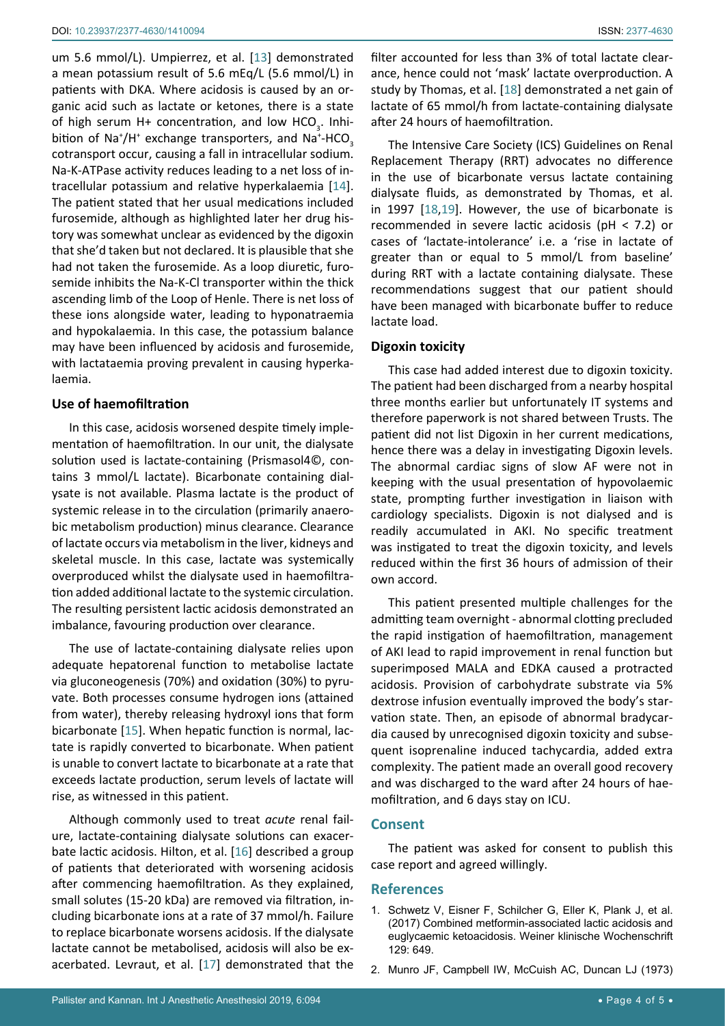um 5.6 mmol/L). Umpierrez, et al. [\[13\]](#page-4-12) demonstrated a mean potassium result of 5.6 mEq/L (5.6 mmol/L) in patients with DKA. Where acidosis is caused by an organic acid such as lactate or ketones, there is a state of high serum H+ concentration, and low HCO<sub>3</sub>. Inhibition of Na<sup>+</sup>/H<sup>+</sup> exchange transporters, and Na<sup>+</sup>-HCO<sub>3</sub> cotransport occur, causing a fall in intracellular sodium. Na-K-ATPase activity reduces leading to a net loss of intracellular potassium and relative hyperkalaemia [\[14](#page-4-13)]. The patient stated that her usual medications included furosemide, although as highlighted later her drug history was somewhat unclear as evidenced by the digoxin that she'd taken but not declared. It is plausible that she had not taken the furosemide. As a loop diuretic, furosemide inhibits the Na-K-Cl transporter within the thick ascending limb of the Loop of Henle. There is net loss of these ions alongside water, leading to hyponatraemia and hypokalaemia. In this case, the potassium balance may have been influenced by acidosis and furosemide, with lactataemia proving prevalent in causing hyperkalaemia.

#### **Use of haemofiltration**

In this case, acidosis worsened despite timely implementation of haemofiltration. In our unit, the dialysate solution used is lactate-containing (Prismasol4©, contains 3 mmol/L lactate). Bicarbonate containing dialysate is not available. Plasma lactate is the product of systemic release in to the circulation (primarily anaerobic metabolism production) minus clearance. Clearance of lactate occurs via metabolism in the liver, kidneys and skeletal muscle. In this case, lactate was systemically overproduced whilst the dialysate used in haemofiltration added additional lactate to the systemic circulation. The resulting persistent lactic acidosis demonstrated an imbalance, favouring production over clearance.

The use of lactate-containing dialysate relies upon adequate hepatorenal function to metabolise lactate via gluconeogenesis (70%) and oxidation (30%) to pyruvate. Both processes consume hydrogen ions (attained from water), thereby releasing hydroxyl ions that form bicarbonate [\[15\]](#page-4-14). When hepatic function is normal, lactate is rapidly converted to bicarbonate. When patient is unable to convert lactate to bicarbonate at a rate that exceeds lactate production, serum levels of lactate will rise, as witnessed in this patient.

Although commonly used to treat *acute* renal failure, lactate-containing dialysate solutions can exacerbate lactic acidosis. Hilton, et al. [[16\]](#page-4-15) described a group of patients that deteriorated with worsening acidosis after commencing haemofiltration. As they explained, small solutes (15-20 kDa) are removed via filtration, including bicarbonate ions at a rate of 37 mmol/h. Failure to replace bicarbonate worsens acidosis. If the dialysate lactate cannot be metabolised, acidosis will also be exacerbated. Levraut, et al. [[17\]](#page-4-16) demonstrated that the filter accounted for less than 3% of total lactate clearance, hence could not 'mask' lactate overproduction. A study by Thomas, et al. [[18\]](#page-4-10) demonstrated a net gain of lactate of 65 mmol/h from lactate-containing dialysate after 24 hours of haemofiltration.

The Intensive Care Society (ICS) Guidelines on Renal Replacement Therapy (RRT) advocates no difference in the use of bicarbonate versus lactate containing dialysate fluids, as demonstrated by Thomas, et al. in 1997 [[18](#page-4-10)[,19](#page-4-11)]. However, the use of bicarbonate is recommended in severe lactic acidosis (pH < 7.2) or cases of 'lactate-intolerance' i.e. a 'rise in lactate of greater than or equal to 5 mmol/L from baseline' during RRT with a lactate containing dialysate. These recommendations suggest that our patient should have been managed with bicarbonate buffer to reduce lactate load.

#### **Digoxin toxicity**

This case had added interest due to digoxin toxicity. The patient had been discharged from a nearby hospital three months earlier but unfortunately IT systems and therefore paperwork is not shared between Trusts. The patient did not list Digoxin in her current medications, hence there was a delay in investigating Digoxin levels. The abnormal cardiac signs of slow AF were not in keeping with the usual presentation of hypovolaemic state, prompting further investigation in liaison with cardiology specialists. Digoxin is not dialysed and is readily accumulated in AKI. No specific treatment was instigated to treat the digoxin toxicity, and levels reduced within the first 36 hours of admission of their own accord.

This patient presented multiple challenges for the admitting team overnight - abnormal clotting precluded the rapid instigation of haemofiltration, management of AKI lead to rapid improvement in renal function but superimposed MALA and EDKA caused a protracted acidosis. Provision of carbohydrate substrate via 5% dextrose infusion eventually improved the body's starvation state. Then, an episode of abnormal bradycardia caused by unrecognised digoxin toxicity and subsequent isoprenaline induced tachycardia, added extra complexity. The patient made an overall good recovery and was discharged to the ward after 24 hours of haemofiltration, and 6 days stay on ICU.

#### **Consent**

The patient was asked for consent to publish this case report and agreed willingly.

#### **References**

- <span id="page-3-0"></span>1. [Schwetz V, Eisner F, Schilcher G, Eller K, Plank J, et al.](https://www.ncbi.nlm.nih.gov/pubmed/28865058)  [\(2017\) Combined metformin-associated lactic acidosis and](https://www.ncbi.nlm.nih.gov/pubmed/28865058)  [euglycaemic ketoacidosis. Weiner klinische Wochenschrift](https://www.ncbi.nlm.nih.gov/pubmed/28865058)  [129: 649.](https://www.ncbi.nlm.nih.gov/pubmed/28865058)
- <span id="page-3-1"></span>2. [Munro JF, Campbell IW, McCuish AC, Duncan LJ \(1973\)](https://www.ncbi.nlm.nih.gov/pubmed/4197425)